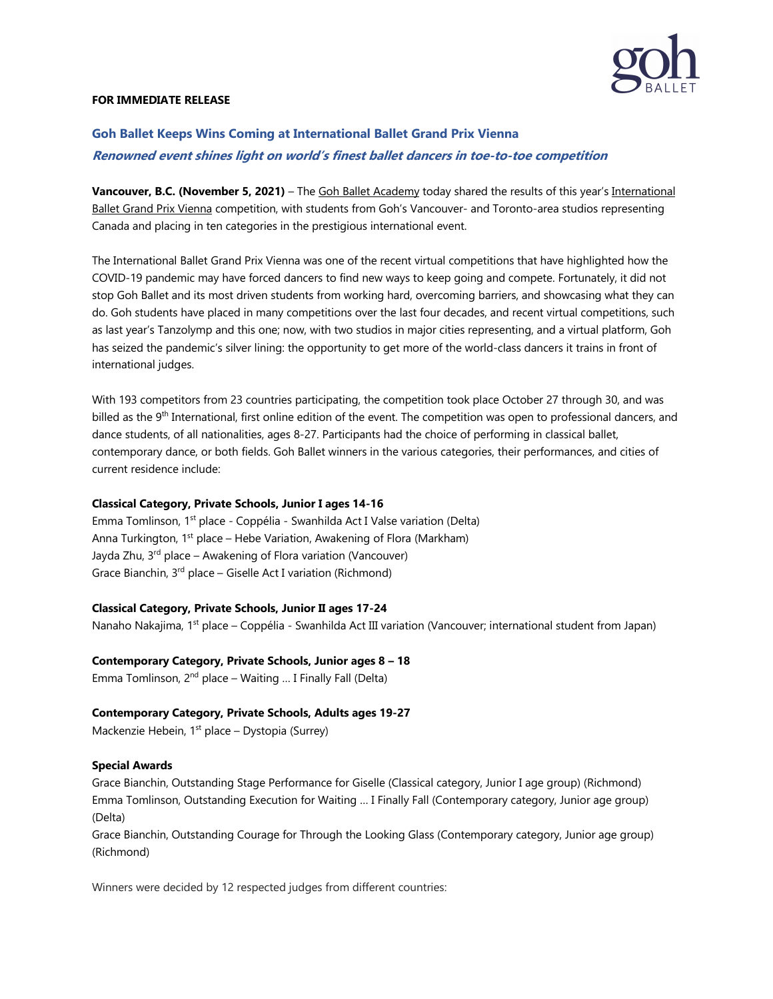

#### **FOR IMMEDIATE RELEASE**

# **Goh Ballet Keeps Wins Coming at International Ballet Grand Prix Vienna Renowned event shines light on world's finest ballet dancers in toe-to-toe competition**

**Vancouver, B.C. (November 5, 2021)** – The Goh Ballet Academy today shared the results of this year's International Ballet Grand Prix Vienna competition, with students from Goh's Vancouver- and Toronto-area studios representing Canada and placing in ten categories in the prestigious international event.

The International Ballet Grand Prix Vienna was one of the recent virtual competitions that have highlighted how the COVID-19 pandemic may have forced dancers to find new ways to keep going and compete. Fortunately, it did not stop Goh Ballet and its most driven students from working hard, overcoming barriers, and showcasing what they can do. Goh students have placed in many competitions over the last four decades, and recent virtual competitions, such as last year's Tanzolymp and this one; now, with two studios in major cities representing, and a virtual platform, Goh has seized the pandemic's silver lining: the opportunity to get more of the world-class dancers it trains in front of international judges.

With 193 competitors from 23 countries participating, the competition took place October 27 through 30, and was billed as the 9<sup>th</sup> International, first online edition of the event. The competition was open to professional dancers, and dance students, of all nationalities, ages 8-27. Participants had the choice of performing in classical ballet, contemporary dance, or both fields. Goh Ballet winners in the various categories, their performances, and cities of current residence include:

### **Classical Category, Private Schools, Junior I ages 14-16**

Emma Tomlinson, 1<sup>st</sup> place - Coppélia - Swanhilda Act I Valse variation (Delta) Anna Turkington,  $1^{st}$  place – Hebe Variation, Awakening of Flora (Markham) Jayda Zhu, 3<sup>rd</sup> place – Awakening of Flora variation (Vancouver) Grace Bianchin, 3rd place – Giselle Act I variation (Richmond)

### **Classical Category, Private Schools, Junior II ages 17-24**

Nanaho Nakajima, 1<sup>st</sup> place – Coppélia - Swanhilda Act III variation (Vancouver; international student from Japan)

### **Contemporary Category, Private Schools, Junior ages 8 – 18**

Emma Tomlinson,  $2<sup>nd</sup>$  place – Waiting ... I Finally Fall (Delta)

### **Contemporary Category, Private Schools, Adults ages 19-27**

Mackenzie Hebein,  $1<sup>st</sup>$  place – Dystopia (Surrey)

#### **Special Awards**

Grace Bianchin, Outstanding Stage Performance for Giselle (Classical category, Junior I age group) (Richmond) Emma Tomlinson, Outstanding Execution for Waiting … I Finally Fall (Contemporary category, Junior age group) (Delta)

Grace Bianchin, Outstanding Courage for Through the Looking Glass (Contemporary category, Junior age group) (Richmond)

Winners were decided by 12 respected judges from different countries: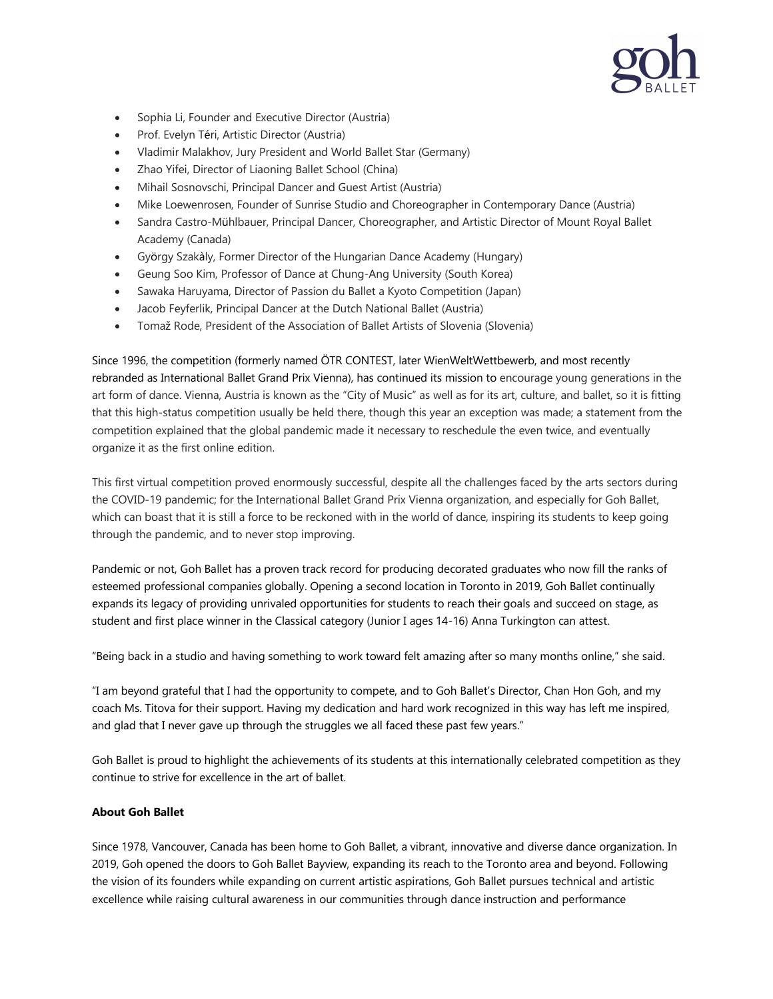

- Sophia Li, Founder and Executive Director (Austria)
- Prof. Evelyn Téri, Artistic Director (Austria)
- Vladimir Malakhov, Jury President and World Ballet Star (Germany)
- Zhao Yifei, Director of Liaoning Ballet School (China)
- Mihail Sosnovschi, Principal Dancer and Guest Artist (Austria)
- Mike Loewenrosen, Founder of Sunrise Studio and Choreographer in Contemporary Dance (Austria)
- Sandra Castro-Mühlbauer, Principal Dancer, Choreographer, and Artistic Director of Mount Royal Ballet Academy (Canada)
- György Szakàly, Former Director of the Hungarian Dance Academy (Hungary)
- Geung Soo Kim, Professor of Dance at Chung-Ang University (South Korea)
- Sawaka Haruyama, Director of Passion du Ballet a Kyoto Competition (Japan)
- Jacob Feyferlik, Principal Dancer at the Dutch National Ballet (Austria)
- Tomaž Rode, President of the Association of Ballet Artists of Slovenia (Slovenia)

Since 1996, the competition (formerly named ÖTR CONTEST, later WienWeltWettbewerb, and most recently rebranded as International Ballet Grand Prix Vienna), has continued its mission to encourage young generations in the art form of dance. Vienna, Austria is known as the "City of Music" as well as for its art, culture, and ballet, so it is fitting that this high-status competition usually be held there, though this year an exception was made; a statement from the competition explained that the global pandemic made it necessary to reschedule the even twice, and eventually organize it as the first online edition.

This first virtual competition proved enormously successful, despite all the challenges faced by the arts sectors during the COVID-19 pandemic; for the International Ballet Grand Prix Vienna organization, and especially for Goh Ballet, which can boast that it is still a force to be reckoned with in the world of dance, inspiring its students to keep going through the pandemic, and to never stop improving.

Pandemic or not, Goh Ballet has a proven track record for producing decorated graduates who now fill the ranks of esteemed professional companies globally. Opening a second location in Toronto in 2019, Goh Ballet continually expands its legacy of providing unrivaled opportunities for students to reach their goals and succeed on stage, as student and first place winner in the Classical category (Junior I ages 14-16) Anna Turkington can attest.

"Being back in a studio and having something to work toward felt amazing after so many months online," she said.

"I am beyond grateful that I had the opportunity to compete, and to Goh Ballet's Director, Chan Hon Goh, and my coach Ms. Titova for their support. Having my dedication and hard work recognized in this way has left me inspired, and glad that I never gave up through the struggles we all faced these past few years."

Goh Ballet is proud to highlight the achievements of its students at this internationally celebrated competition as they continue to strive for excellence in the art of ballet.

### **About Goh Ballet**

Since 1978, Vancouver, Canada has been home to Goh Ballet, a vibrant, innovative and diverse dance organization. In 2019, Goh opened the doors to Goh Ballet Bayview, expanding its reach to the Toronto area and beyond. Following the vision of its founders while expanding on current artistic aspirations, Goh Ballet pursues technical and artistic excellence while raising cultural awareness in our communities through dance instruction and performance